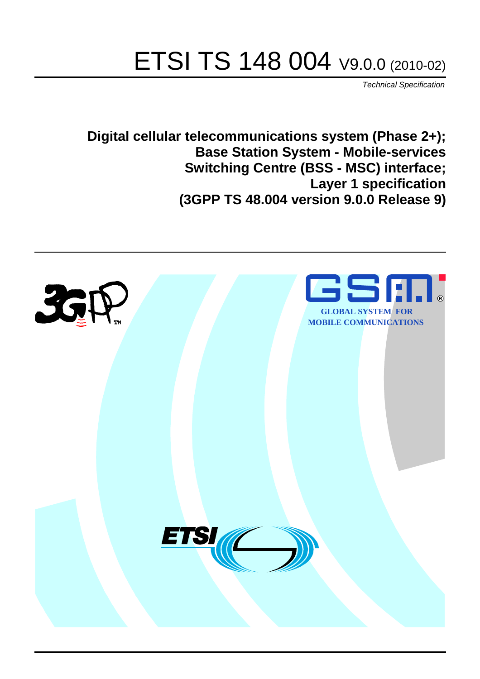# ETSI TS 148 004 V9.0.0 (2010-02)

*Technical Specification*

**Digital cellular telecommunications system (Phase 2+); Base Station System - Mobile-services Switching Centre (BSS - MSC) interface; Layer 1 specification (3GPP TS 48.004 version 9.0.0 Release 9)**

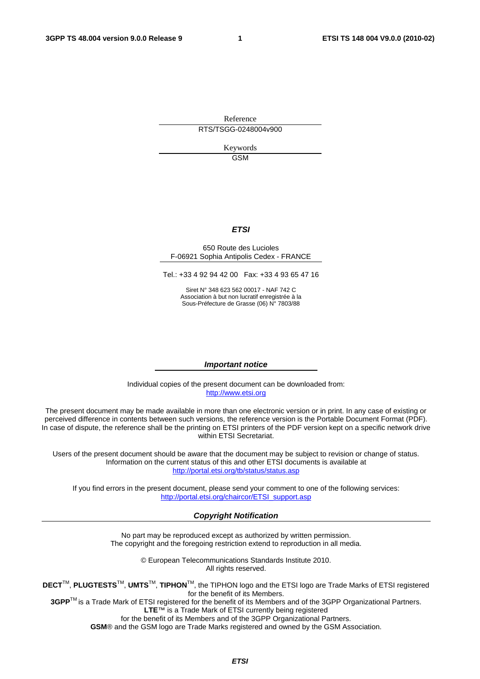Reference RTS/TSGG-0248004v900

> Keywords GSM

#### *ETSI*

#### 650 Route des Lucioles F-06921 Sophia Antipolis Cedex - FRANCE

Tel.: +33 4 92 94 42 00 Fax: +33 4 93 65 47 16

Siret N° 348 623 562 00017 - NAF 742 C Association à but non lucratif enregistrée à la Sous-Préfecture de Grasse (06) N° 7803/88

#### *Important notice*

Individual copies of the present document can be downloaded from: [http://www.etsi.org](http://www.etsi.org/)

The present document may be made available in more than one electronic version or in print. In any case of existing or perceived difference in contents between such versions, the reference version is the Portable Document Format (PDF). In case of dispute, the reference shall be the printing on ETSI printers of the PDF version kept on a specific network drive within ETSI Secretariat.

Users of the present document should be aware that the document may be subject to revision or change of status. Information on the current status of this and other ETSI documents is available at <http://portal.etsi.org/tb/status/status.asp>

If you find errors in the present document, please send your comment to one of the following services: [http://portal.etsi.org/chaircor/ETSI\\_support.asp](http://portal.etsi.org/chaircor/ETSI_support.asp)

#### *Copyright Notification*

No part may be reproduced except as authorized by written permission. The copyright and the foregoing restriction extend to reproduction in all media.

> © European Telecommunications Standards Institute 2010. All rights reserved.

**DECT**TM, **PLUGTESTS**TM, **UMTS**TM, **TIPHON**TM, the TIPHON logo and the ETSI logo are Trade Marks of ETSI registered for the benefit of its Members.

**3GPP**TM is a Trade Mark of ETSI registered for the benefit of its Members and of the 3GPP Organizational Partners. **LTE**™ is a Trade Mark of ETSI currently being registered

for the benefit of its Members and of the 3GPP Organizational Partners.

**GSM**® and the GSM logo are Trade Marks registered and owned by the GSM Association.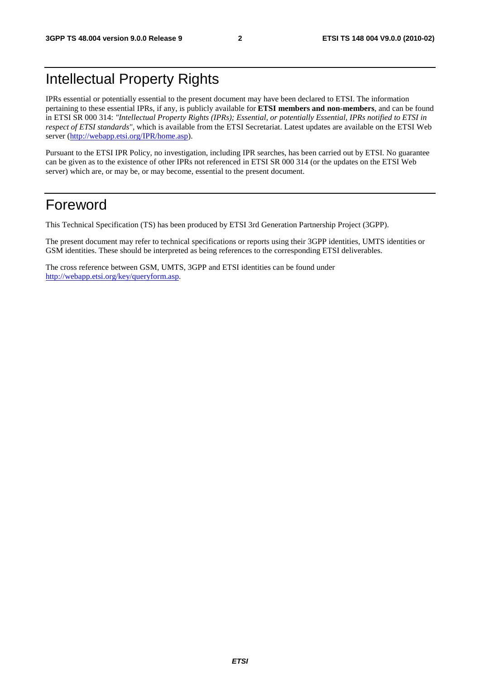## Intellectual Property Rights

IPRs essential or potentially essential to the present document may have been declared to ETSI. The information pertaining to these essential IPRs, if any, is publicly available for **ETSI members and non-members**, and can be found in ETSI SR 000 314: *"Intellectual Property Rights (IPRs); Essential, or potentially Essential, IPRs notified to ETSI in respect of ETSI standards"*, which is available from the ETSI Secretariat. Latest updates are available on the ETSI Web server [\(http://webapp.etsi.org/IPR/home.asp](http://webapp.etsi.org/IPR/home.asp)).

Pursuant to the ETSI IPR Policy, no investigation, including IPR searches, has been carried out by ETSI. No guarantee can be given as to the existence of other IPRs not referenced in ETSI SR 000 314 (or the updates on the ETSI Web server) which are, or may be, or may become, essential to the present document.

#### Foreword

This Technical Specification (TS) has been produced by ETSI 3rd Generation Partnership Project (3GPP).

The present document may refer to technical specifications or reports using their 3GPP identities, UMTS identities or GSM identities. These should be interpreted as being references to the corresponding ETSI deliverables.

The cross reference between GSM, UMTS, 3GPP and ETSI identities can be found under [http://webapp.etsi.org/key/queryform.asp.](http://webapp.etsi.org/key/queryform.asp)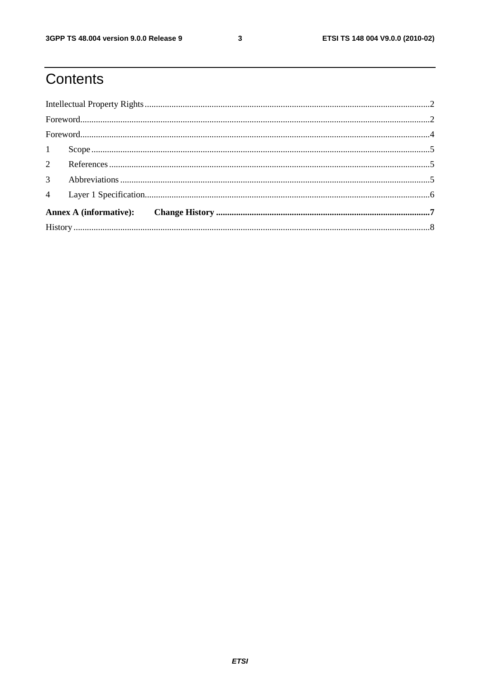# Contents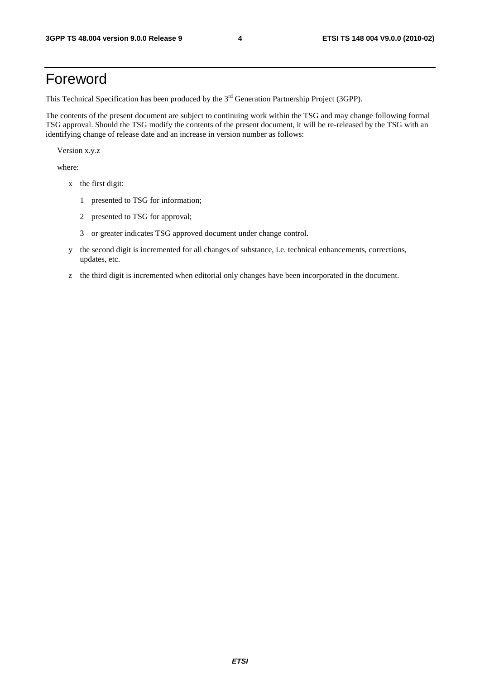## Foreword

This Technical Specification has been produced by the 3<sup>rd</sup> Generation Partnership Project (3GPP).

The contents of the present document are subject to continuing work within the TSG and may change following formal TSG approval. Should the TSG modify the contents of the present document, it will be re-released by the TSG with an identifying change of release date and an increase in version number as follows:

Version x.y.z

where:

- x the first digit:
	- 1 presented to TSG for information;
	- 2 presented to TSG for approval;
	- 3 or greater indicates TSG approved document under change control.
- y the second digit is incremented for all changes of substance, i.e. technical enhancements, corrections, updates, etc.
- z the third digit is incremented when editorial only changes have been incorporated in the document.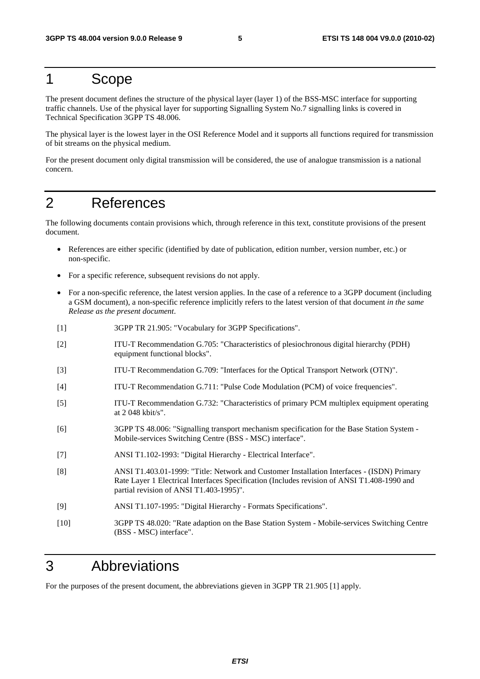#### 1 Scope

The present document defines the structure of the physical layer (layer 1) of the BSS-MSC interface for supporting traffic channels. Use of the physical layer for supporting Signalling System No.7 signalling links is covered in Technical Specification 3GPP TS 48.006.

The physical layer is the lowest layer in the OSI Reference Model and it supports all functions required for transmission of bit streams on the physical medium.

For the present document only digital transmission will be considered, the use of analogue transmission is a national concern.

#### 2 References

The following documents contain provisions which, through reference in this text, constitute provisions of the present document.

- References are either specific (identified by date of publication, edition number, version number, etc.) or non-specific.
- For a specific reference, subsequent revisions do not apply.
- For a non-specific reference, the latest version applies. In the case of a reference to a 3GPP document (including a GSM document), a non-specific reference implicitly refers to the latest version of that document *in the same Release as the present document*.
- [1] 3GPP TR 21.905: "Vocabulary for 3GPP Specifications".
- [2] ITU-T Recommendation G.705: "Characteristics of plesiochronous digital hierarchy (PDH) equipment functional blocks".
- [3] ITU-T Recommendation G.709: "Interfaces for the Optical Transport Network (OTN)".
- [4] ITU-T Recommendation G.711: "Pulse Code Modulation (PCM) of voice frequencies".
- [5] ITU-T Recommendation G.732: "Characteristics of primary PCM multiplex equipment operating at 2 048 kbit/s".
- [6] 3GPP TS 48.006: "Signalling transport mechanism specification for the Base Station System Mobile-services Switching Centre (BSS - MSC) interface".
- [7] ANSI T1.102-1993: "Digital Hierarchy Electrical Interface".
- [8] ANSI T1.403.01-1999: "Title: Network and Customer Installation Interfaces (ISDN) Primary Rate Layer 1 Electrical Interfaces Specification (Includes revision of ANSI T1.408-1990 and partial revision of ANSI T1.403-1995)".
- [9] ANSI T1.107-1995: "Digital Hierarchy Formats Specifications".
- [10] 3GPP TS 48.020: "Rate adaption on the Base Station System Mobile-services Switching Centre (BSS - MSC) interface".

## 3 Abbreviations

For the purposes of the present document, the abbreviations gieven in 3GPP TR 21.905 [1] apply.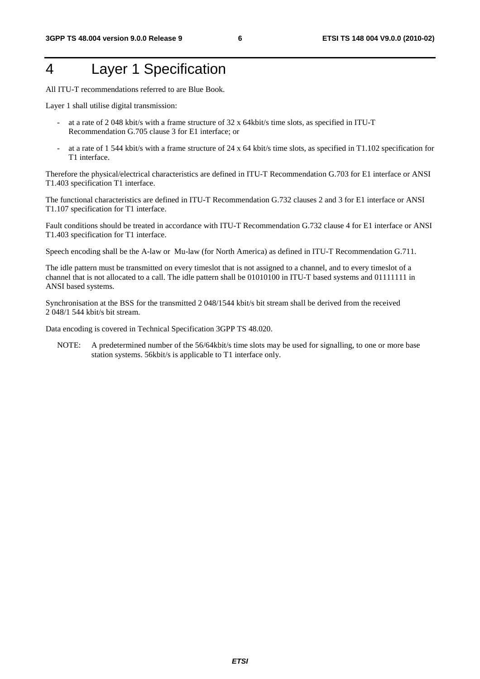## 4 Layer 1 Specification

All ITU-T recommendations referred to are Blue Book.

Layer 1 shall utilise digital transmission:

- at a rate of 2 048 kbit/s with a frame structure of 32 x 64kbit/s time slots, as specified in ITU-T Recommendation G.705 clause 3 for E1 interface; or
- at a rate of 1 544 kbit/s with a frame structure of 24 x 64 kbit/s time slots, as specified in T1.102 specification for T1 interface.

Therefore the physical/electrical characteristics are defined in ITU-T Recommendation G.703 for E1 interface or ANSI T1.403 specification T1 interface.

The functional characteristics are defined in ITU-T Recommendation G.732 clauses 2 and 3 for E1 interface or ANSI T1.107 specification for T1 interface.

Fault conditions should be treated in accordance with ITU-T Recommendation G.732 clause 4 for E1 interface or ANSI T1.403 specification for T1 interface.

Speech encoding shall be the A-law or Mu-law (for North America) as defined in ITU-T Recommendation G.711.

The idle pattern must be transmitted on every timeslot that is not assigned to a channel, and to every timeslot of a channel that is not allocated to a call. The idle pattern shall be 01010100 in ITU-T based systems and 01111111 in ANSI based systems.

Synchronisation at the BSS for the transmitted 2 048/1544 kbit/s bit stream shall be derived from the received 2 048/1 544 kbit/s bit stream.

Data encoding is covered in Technical Specification 3GPP TS 48.020.

NOTE: A predetermined number of the 56/64kbit/s time slots may be used for signalling, to one or more base station systems. 56kbit/s is applicable to T1 interface only.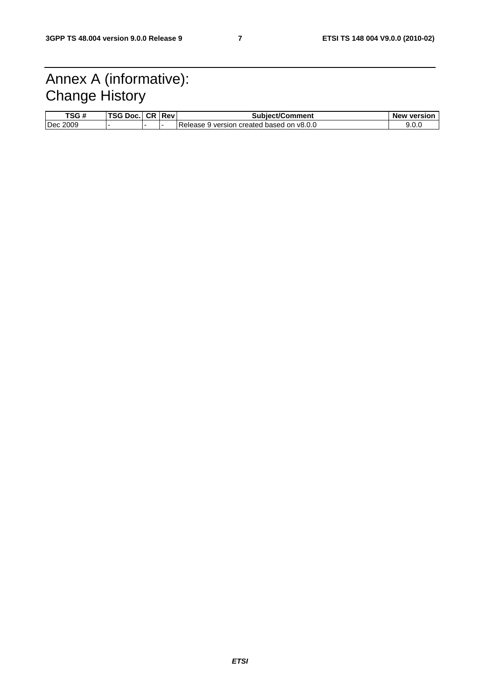## Annex A (informative): Change History

| TSG#        | TCA D.<br>DOC<br>56 | <b>CR</b> | Rev | <b>Subiect/Comment</b>                     | <b>New version</b> |
|-------------|---------------------|-----------|-----|--------------------------------------------|--------------------|
| 2009<br>Dec |                     |           | . . | Release<br>version created based on v8.0.0 | 9.O.C              |